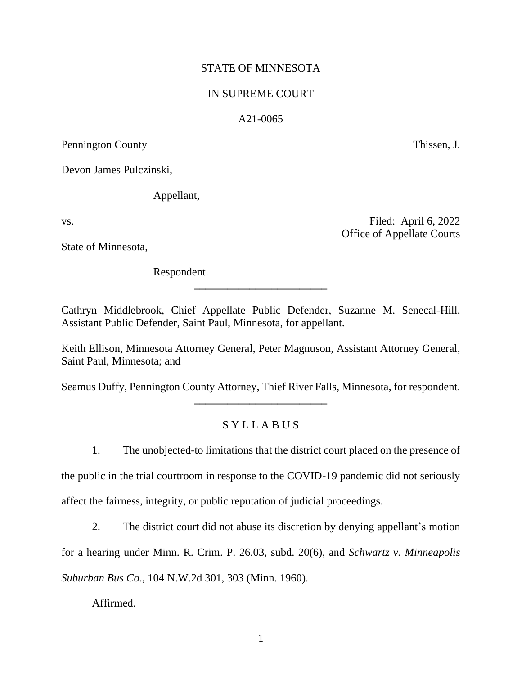# STATE OF MINNESOTA

### IN SUPREME COURT

### A21-0065

Pennington County Thissen, J.

Office of Appellate Courts

Devon James Pulczinski,

Appellant,

vs. Filed: April 6, 2022

State of Minnesota,

Respondent.

Cathryn Middlebrook, Chief Appellate Public Defender, Suzanne M. Senecal-Hill, Assistant Public Defender, Saint Paul, Minnesota, for appellant.

**\_\_\_\_\_\_\_\_\_\_\_\_\_\_\_\_\_\_\_\_\_\_\_\_**

Keith Ellison, Minnesota Attorney General, Peter Magnuson, Assistant Attorney General, Saint Paul, Minnesota; and

Seamus Duffy, Pennington County Attorney, Thief River Falls, Minnesota, for respondent. **\_\_\_\_\_\_\_\_\_\_\_\_\_\_\_\_\_\_\_\_\_\_\_\_**

# S Y L L A B U S

1. The unobjected-to limitations that the district court placed on the presence of the public in the trial courtroom in response to the COVID-19 pandemic did not seriously affect the fairness, integrity, or public reputation of judicial proceedings.

2. The district court did not abuse its discretion by denying appellant's motion for a hearing under Minn. R. Crim. P. 26.03, subd. 20(6), and *Schwartz v. Minneapolis Suburban Bus Co*., 104 N.W.2d 301, 303 (Minn. 1960).

Affirmed.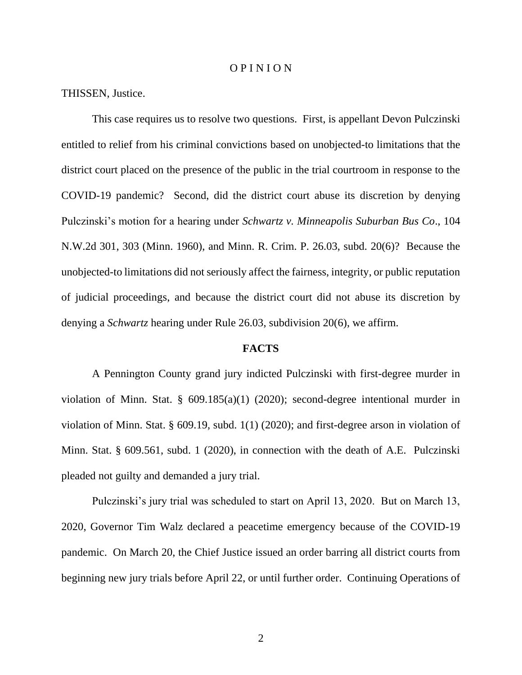#### O P I N I O N

THISSEN, Justice.

This case requires us to resolve two questions. First, is appellant Devon Pulczinski entitled to relief from his criminal convictions based on unobjected-to limitations that the district court placed on the presence of the public in the trial courtroom in response to the COVID-19 pandemic? Second, did the district court abuse its discretion by denying Pulczinski's motion for a hearing under *Schwartz v. Minneapolis Suburban Bus Co*., 104 N.W.2d 301, 303 (Minn. 1960), and Minn. R. Crim. P. 26.03, subd. 20(6)? Because the unobjected-to limitations did not seriously affect the fairness, integrity, or public reputation of judicial proceedings, and because the district court did not abuse its discretion by denying a *Schwartz* hearing under Rule 26.03, subdivision 20(6), we affirm.

#### **FACTS**

A Pennington County grand jury indicted Pulczinski with first-degree murder in violation of Minn. Stat. § 609.185(a)(1) (2020); second-degree intentional murder in violation of Minn. Stat. § 609.19, subd. 1(1) (2020); and first-degree arson in violation of Minn. Stat. § 609.561, subd. 1 (2020), in connection with the death of A.E. Pulczinski pleaded not guilty and demanded a jury trial.

Pulczinski's jury trial was scheduled to start on April 13, 2020. But on March 13, 2020, Governor Tim Walz declared a peacetime emergency because of the COVID-19 pandemic. On March 20, the Chief Justice issued an order barring all district courts from beginning new jury trials before April 22, or until further order. Continuing Operations of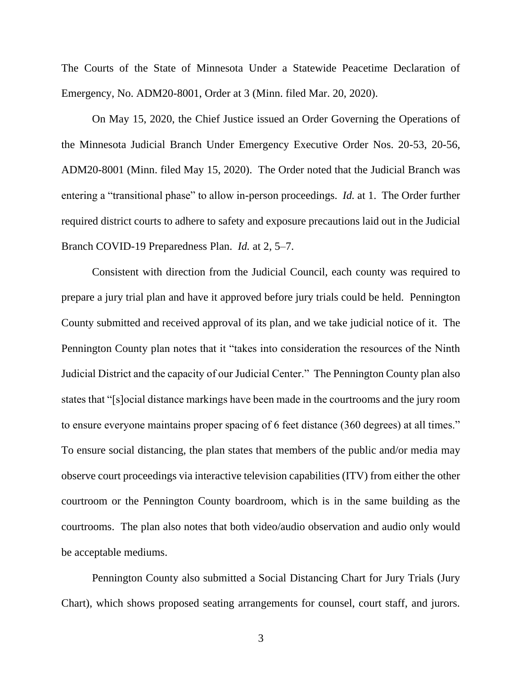The Courts of the State of Minnesota Under a Statewide Peacetime Declaration of Emergency, No. ADM20-8001, Order at 3 (Minn. filed Mar. 20, 2020).

On May 15, 2020, the Chief Justice issued an Order Governing the Operations of the Minnesota Judicial Branch Under Emergency Executive Order Nos. 20-53, 20-56, ADM20-8001 (Minn. filed May 15, 2020). The Order noted that the Judicial Branch was entering a "transitional phase" to allow in-person proceedings. *Id.* at 1. The Order further required district courts to adhere to safety and exposure precautions laid out in the Judicial Branch COVID-19 Preparedness Plan. *Id.* at 2, 5–7.

Consistent with direction from the Judicial Council, each county was required to prepare a jury trial plan and have it approved before jury trials could be held. Pennington County submitted and received approval of its plan, and we take judicial notice of it. The Pennington County plan notes that it "takes into consideration the resources of the Ninth Judicial District and the capacity of our Judicial Center." The Pennington County plan also states that "[s]ocial distance markings have been made in the courtrooms and the jury room to ensure everyone maintains proper spacing of 6 feet distance (360 degrees) at all times." To ensure social distancing, the plan states that members of the public and/or media may observe court proceedings via interactive television capabilities (ITV) from either the other courtroom or the Pennington County boardroom, which is in the same building as the courtrooms. The plan also notes that both video/audio observation and audio only would be acceptable mediums.

Pennington County also submitted a Social Distancing Chart for Jury Trials (Jury Chart), which shows proposed seating arrangements for counsel, court staff, and jurors.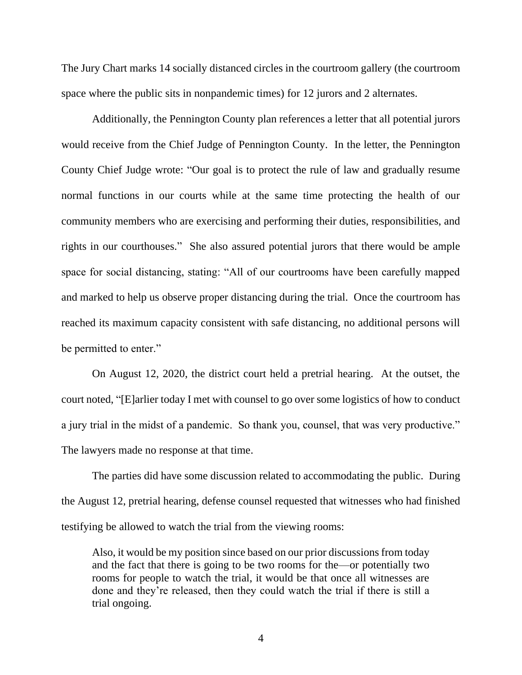The Jury Chart marks 14 socially distanced circles in the courtroom gallery (the courtroom space where the public sits in nonpandemic times) for 12 jurors and 2 alternates.

Additionally, the Pennington County plan references a letter that all potential jurors would receive from the Chief Judge of Pennington County. In the letter, the Pennington County Chief Judge wrote: "Our goal is to protect the rule of law and gradually resume normal functions in our courts while at the same time protecting the health of our community members who are exercising and performing their duties, responsibilities, and rights in our courthouses." She also assured potential jurors that there would be ample space for social distancing, stating: "All of our courtrooms have been carefully mapped and marked to help us observe proper distancing during the trial. Once the courtroom has reached its maximum capacity consistent with safe distancing, no additional persons will be permitted to enter."

On August 12, 2020, the district court held a pretrial hearing. At the outset, the court noted, "[E]arlier today I met with counsel to go over some logistics of how to conduct a jury trial in the midst of a pandemic. So thank you, counsel, that was very productive." The lawyers made no response at that time.

The parties did have some discussion related to accommodating the public. During the August 12, pretrial hearing, defense counsel requested that witnesses who had finished testifying be allowed to watch the trial from the viewing rooms:

Also, it would be my position since based on our prior discussions from today and the fact that there is going to be two rooms for the—or potentially two rooms for people to watch the trial, it would be that once all witnesses are done and they're released, then they could watch the trial if there is still a trial ongoing.

4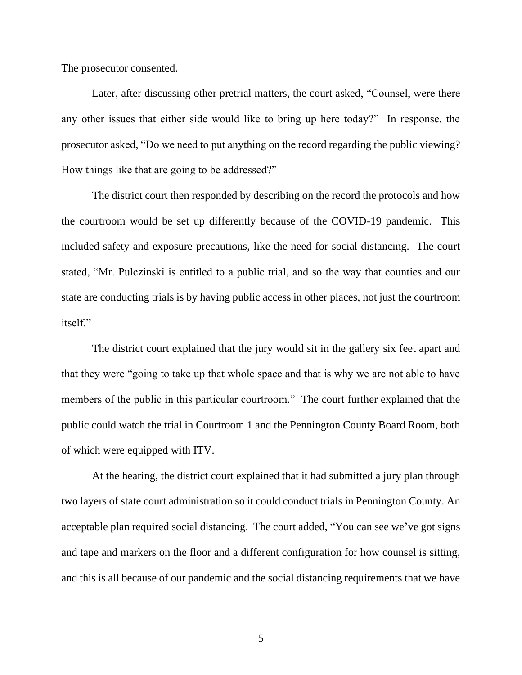The prosecutor consented.

Later, after discussing other pretrial matters, the court asked, "Counsel, were there any other issues that either side would like to bring up here today?" In response, the prosecutor asked, "Do we need to put anything on the record regarding the public viewing? How things like that are going to be addressed?"

The district court then responded by describing on the record the protocols and how the courtroom would be set up differently because of the COVID-19 pandemic. This included safety and exposure precautions, like the need for social distancing. The court stated, "Mr. Pulczinski is entitled to a public trial, and so the way that counties and our state are conducting trials is by having public access in other places, not just the courtroom itself."

The district court explained that the jury would sit in the gallery six feet apart and that they were "going to take up that whole space and that is why we are not able to have members of the public in this particular courtroom." The court further explained that the public could watch the trial in Courtroom 1 and the Pennington County Board Room, both of which were equipped with ITV.

At the hearing, the district court explained that it had submitted a jury plan through two layers of state court administration so it could conduct trials in Pennington County. An acceptable plan required social distancing. The court added, "You can see we've got signs and tape and markers on the floor and a different configuration for how counsel is sitting, and this is all because of our pandemic and the social distancing requirements that we have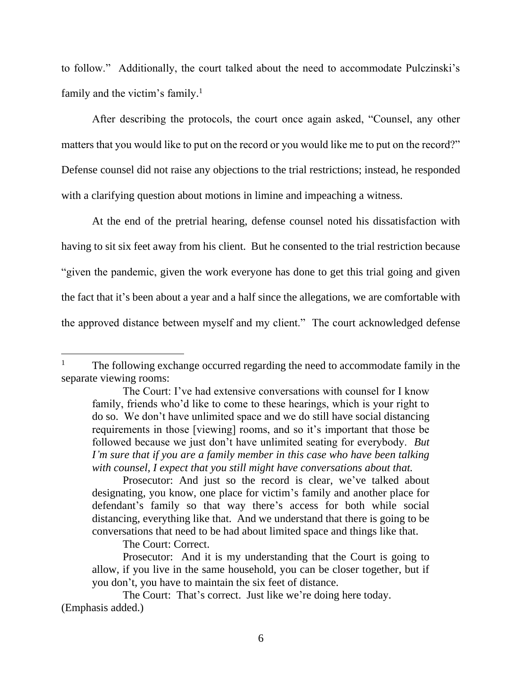to follow." Additionally, the court talked about the need to accommodate Pulczinski's family and the victim's family.<sup>1</sup>

After describing the protocols, the court once again asked, "Counsel, any other matters that you would like to put on the record or you would like me to put on the record?" Defense counsel did not raise any objections to the trial restrictions; instead, he responded with a clarifying question about motions in limine and impeaching a witness.

At the end of the pretrial hearing, defense counsel noted his dissatisfaction with having to sit six feet away from his client. But he consented to the trial restriction because "given the pandemic, given the work everyone has done to get this trial going and given the fact that it's been about a year and a half since the allegations, we are comfortable with the approved distance between myself and my client." The court acknowledged defense

The Court: Correct.

<sup>1</sup> The following exchange occurred regarding the need to accommodate family in the separate viewing rooms:

The Court: I've had extensive conversations with counsel for I know family, friends who'd like to come to these hearings, which is your right to do so. We don't have unlimited space and we do still have social distancing requirements in those [viewing] rooms, and so it's important that those be followed because we just don't have unlimited seating for everybody. *But I'm sure that if you are a family member in this case who have been talking with counsel, I expect that you still might have conversations about that.*

Prosecutor: And just so the record is clear, we've talked about designating, you know, one place for victim's family and another place for defendant's family so that way there's access for both while social distancing, everything like that. And we understand that there is going to be conversations that need to be had about limited space and things like that.

Prosecutor: And it is my understanding that the Court is going to allow, if you live in the same household, you can be closer together, but if you don't, you have to maintain the six feet of distance.

The Court: That's correct. Just like we're doing here today. (Emphasis added.)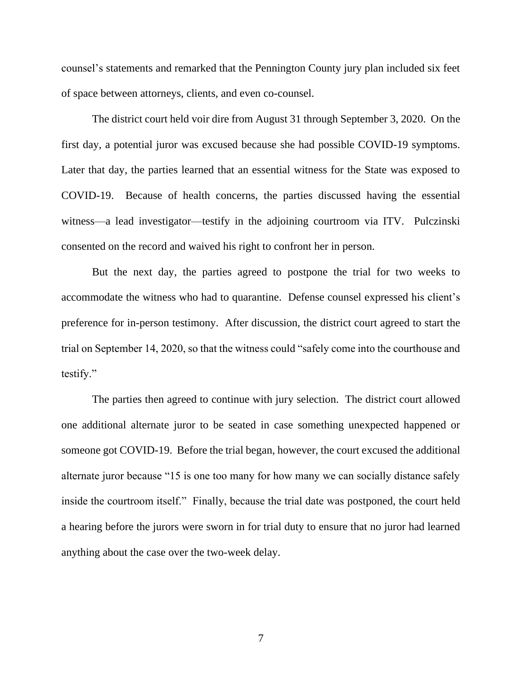counsel's statements and remarked that the Pennington County jury plan included six feet of space between attorneys, clients, and even co-counsel.

The district court held voir dire from August 31 through September 3, 2020. On the first day, a potential juror was excused because she had possible COVID-19 symptoms. Later that day, the parties learned that an essential witness for the State was exposed to COVID-19. Because of health concerns, the parties discussed having the essential witness—a lead investigator—testify in the adjoining courtroom via ITV. Pulczinski consented on the record and waived his right to confront her in person.

But the next day, the parties agreed to postpone the trial for two weeks to accommodate the witness who had to quarantine. Defense counsel expressed his client's preference for in-person testimony. After discussion, the district court agreed to start the trial on September 14, 2020, so that the witness could "safely come into the courthouse and testify."

The parties then agreed to continue with jury selection. The district court allowed one additional alternate juror to be seated in case something unexpected happened or someone got COVID-19. Before the trial began, however, the court excused the additional alternate juror because "15 is one too many for how many we can socially distance safely inside the courtroom itself." Finally, because the trial date was postponed, the court held a hearing before the jurors were sworn in for trial duty to ensure that no juror had learned anything about the case over the two-week delay.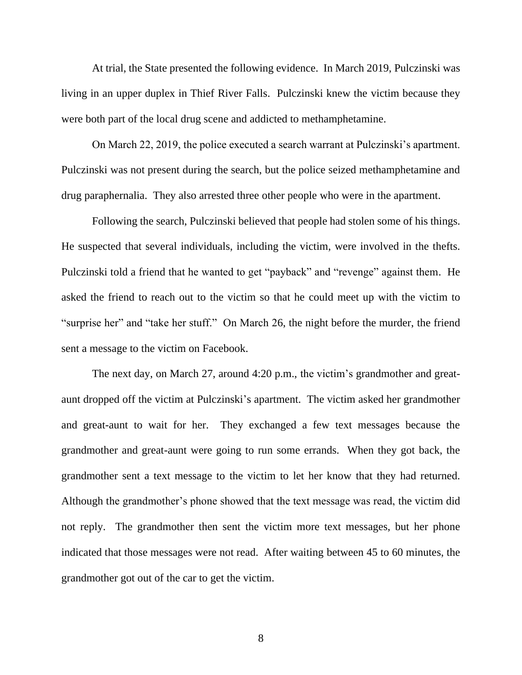At trial, the State presented the following evidence. In March 2019, Pulczinski was living in an upper duplex in Thief River Falls. Pulczinski knew the victim because they were both part of the local drug scene and addicted to methamphetamine.

On March 22, 2019, the police executed a search warrant at Pulczinski's apartment. Pulczinski was not present during the search, but the police seized methamphetamine and drug paraphernalia. They also arrested three other people who were in the apartment.

Following the search, Pulczinski believed that people had stolen some of his things. He suspected that several individuals, including the victim, were involved in the thefts. Pulczinski told a friend that he wanted to get "payback" and "revenge" against them. He asked the friend to reach out to the victim so that he could meet up with the victim to "surprise her" and "take her stuff." On March 26, the night before the murder, the friend sent a message to the victim on Facebook.

The next day, on March 27, around 4:20 p.m., the victim's grandmother and greataunt dropped off the victim at Pulczinski's apartment. The victim asked her grandmother and great-aunt to wait for her. They exchanged a few text messages because the grandmother and great-aunt were going to run some errands. When they got back, the grandmother sent a text message to the victim to let her know that they had returned. Although the grandmother's phone showed that the text message was read, the victim did not reply. The grandmother then sent the victim more text messages, but her phone indicated that those messages were not read. After waiting between 45 to 60 minutes, the grandmother got out of the car to get the victim.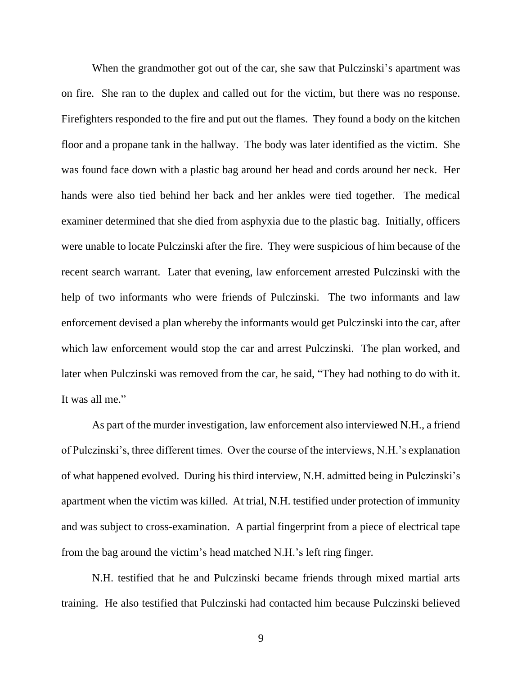When the grandmother got out of the car, she saw that Pulczinski's apartment was on fire. She ran to the duplex and called out for the victim, but there was no response. Firefighters responded to the fire and put out the flames. They found a body on the kitchen floor and a propane tank in the hallway. The body was later identified as the victim. She was found face down with a plastic bag around her head and cords around her neck. Her hands were also tied behind her back and her ankles were tied together. The medical examiner determined that she died from asphyxia due to the plastic bag. Initially, officers were unable to locate Pulczinski after the fire. They were suspicious of him because of the recent search warrant. Later that evening, law enforcement arrested Pulczinski with the help of two informants who were friends of Pulczinski. The two informants and law enforcement devised a plan whereby the informants would get Pulczinski into the car, after which law enforcement would stop the car and arrest Pulczinski. The plan worked, and later when Pulczinski was removed from the car, he said, "They had nothing to do with it. It was all me."

As part of the murder investigation, law enforcement also interviewed N.H., a friend of Pulczinski's, three different times. Over the course of the interviews, N.H.'s explanation of what happened evolved. During his third interview, N.H. admitted being in Pulczinski's apartment when the victim was killed. At trial, N.H. testified under protection of immunity and was subject to cross-examination. A partial fingerprint from a piece of electrical tape from the bag around the victim's head matched N.H.'s left ring finger.

N.H. testified that he and Pulczinski became friends through mixed martial arts training. He also testified that Pulczinski had contacted him because Pulczinski believed

9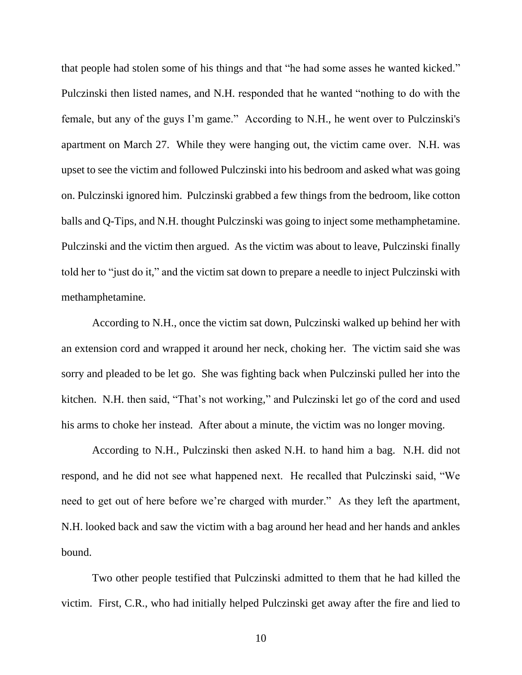that people had stolen some of his things and that "he had some asses he wanted kicked." Pulczinski then listed names, and N.H. responded that he wanted "nothing to do with the female, but any of the guys I'm game." According to N.H., he went over to Pulczinski's apartment on March 27. While they were hanging out, the victim came over. N.H. was upset to see the victim and followed Pulczinski into his bedroom and asked what was going on. Pulczinski ignored him. Pulczinski grabbed a few things from the bedroom, like cotton balls and Q-Tips, and N.H. thought Pulczinski was going to inject some methamphetamine. Pulczinski and the victim then argued. As the victim was about to leave, Pulczinski finally told her to "just do it," and the victim sat down to prepare a needle to inject Pulczinski with methamphetamine.

According to N.H., once the victim sat down, Pulczinski walked up behind her with an extension cord and wrapped it around her neck, choking her. The victim said she was sorry and pleaded to be let go. She was fighting back when Pulczinski pulled her into the kitchen. N.H. then said, "That's not working," and Pulczinski let go of the cord and used his arms to choke her instead. After about a minute, the victim was no longer moving.

According to N.H., Pulczinski then asked N.H. to hand him a bag. N.H. did not respond, and he did not see what happened next. He recalled that Pulczinski said, "We need to get out of here before we're charged with murder." As they left the apartment, N.H. looked back and saw the victim with a bag around her head and her hands and ankles bound.

Two other people testified that Pulczinski admitted to them that he had killed the victim. First, C.R., who had initially helped Pulczinski get away after the fire and lied to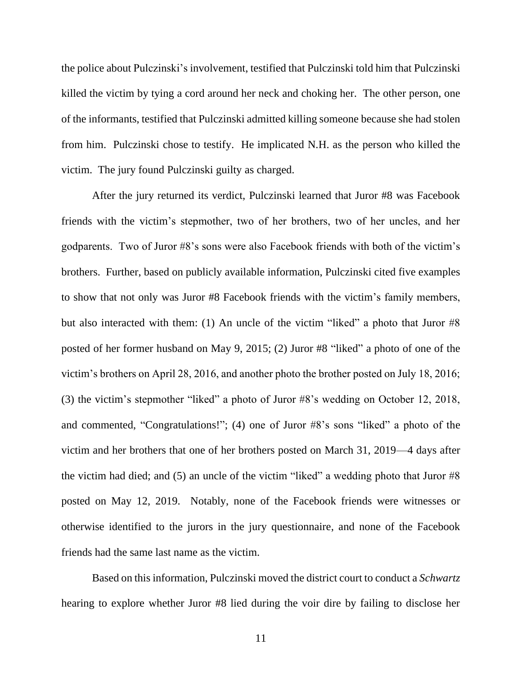the police about Pulczinski's involvement, testified that Pulczinski told him that Pulczinski killed the victim by tying a cord around her neck and choking her. The other person, one of the informants, testified that Pulczinski admitted killing someone because she had stolen from him. Pulczinski chose to testify. He implicated N.H. as the person who killed the victim. The jury found Pulczinski guilty as charged.

After the jury returned its verdict, Pulczinski learned that Juror #8 was Facebook friends with the victim's stepmother, two of her brothers, two of her uncles, and her godparents. Two of Juror #8's sons were also Facebook friends with both of the victim's brothers. Further, based on publicly available information, Pulczinski cited five examples to show that not only was Juror #8 Facebook friends with the victim's family members, but also interacted with them: (1) An uncle of the victim "liked" a photo that Juror #8 posted of her former husband on May 9, 2015; (2) Juror #8 "liked" a photo of one of the victim's brothers on April 28, 2016, and another photo the brother posted on July 18, 2016; (3) the victim's stepmother "liked" a photo of Juror #8's wedding on October 12, 2018, and commented, "Congratulations!"; (4) one of Juror #8's sons "liked" a photo of the victim and her brothers that one of her brothers posted on March 31, 2019—4 days after the victim had died; and (5) an uncle of the victim "liked" a wedding photo that Juror #8 posted on May 12, 2019. Notably, none of the Facebook friends were witnesses or otherwise identified to the jurors in the jury questionnaire, and none of the Facebook friends had the same last name as the victim.

Based on this information, Pulczinski moved the district court to conduct a *Schwartz* hearing to explore whether Juror #8 lied during the voir dire by failing to disclose her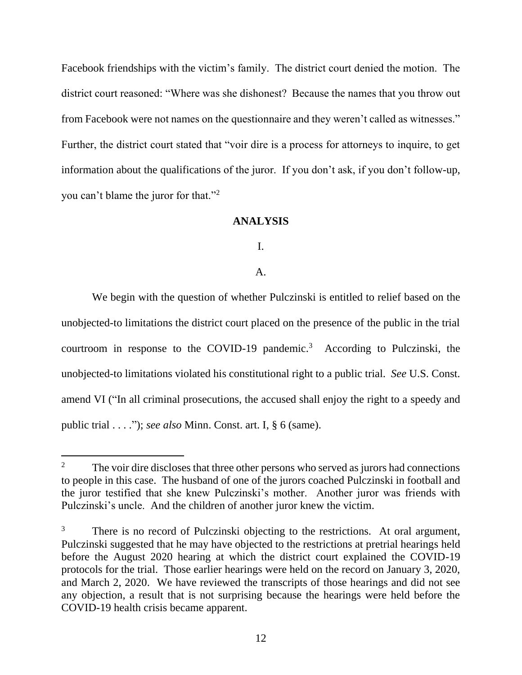Facebook friendships with the victim's family. The district court denied the motion. The district court reasoned: "Where was she dishonest? Because the names that you throw out from Facebook were not names on the questionnaire and they weren't called as witnesses." Further, the district court stated that "voir dire is a process for attorneys to inquire, to get information about the qualifications of the juror. If you don't ask, if you don't follow-up, you can't blame the juror for that."<sup>2</sup>

#### **ANALYSIS**

I.

A.

We begin with the question of whether Pulczinski is entitled to relief based on the unobjected-to limitations the district court placed on the presence of the public in the trial courtroom in response to the COVID-19 pandemic.<sup>3</sup> According to Pulczinski, the unobjected-to limitations violated his constitutional right to a public trial. *See* U.S. Const. amend VI ("In all criminal prosecutions, the accused shall enjoy the right to a speedy and public trial . . . ."); *see also* Minn. Const. art. I, § 6 (same).

<sup>&</sup>lt;sup>2</sup> The voir dire discloses that three other persons who served as jurors had connections to people in this case. The husband of one of the jurors coached Pulczinski in football and the juror testified that she knew Pulczinski's mother. Another juror was friends with Pulczinski's uncle. And the children of another juror knew the victim.

<sup>&</sup>lt;sup>3</sup> There is no record of Pulczinski objecting to the restrictions. At oral argument, Pulczinski suggested that he may have objected to the restrictions at pretrial hearings held before the August 2020 hearing at which the district court explained the COVID-19 protocols for the trial. Those earlier hearings were held on the record on January 3, 2020, and March 2, 2020. We have reviewed the transcripts of those hearings and did not see any objection, a result that is not surprising because the hearings were held before the COVID-19 health crisis became apparent.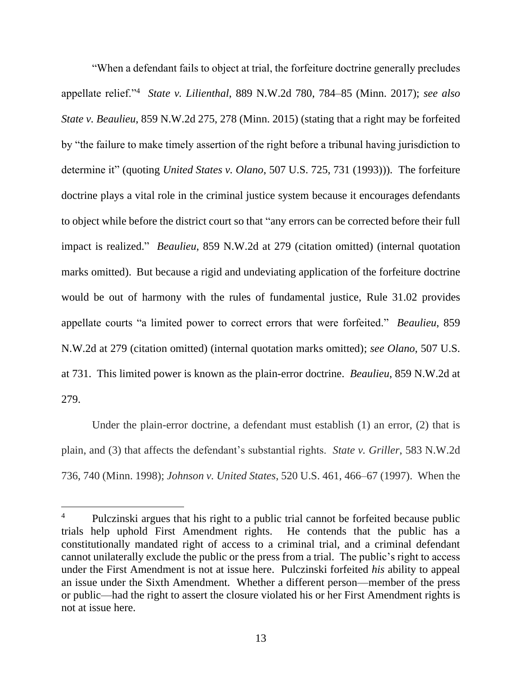"When a defendant fails to object at trial, the forfeiture doctrine generally precludes appellate relief."<sup>4</sup> *State v. Lilienthal*, 889 N.W.2d 780, 784–85 (Minn. 2017); *see also State v. Beaulieu*, 859 N.W.2d 275, 278 (Minn. 2015) (stating that a right may be forfeited by "the failure to make timely assertion of the right before a tribunal having jurisdiction to determine it" (quoting *United States v. Olano*, 507 U.S. 725, 731 (1993))). The forfeiture doctrine plays a vital role in the criminal justice system because it encourages defendants to object while before the district court so that "any errors can be corrected before their full impact is realized." *Beaulieu*, 859 N.W.2d at 279 (citation omitted) (internal quotation marks omitted). But because a rigid and undeviating application of the forfeiture doctrine would be out of harmony with the rules of fundamental justice, Rule 31.02 provides appellate courts "a limited power to correct errors that were forfeited." *Beaulieu*, 859 N.W.2d at 279 (citation omitted) (internal quotation marks omitted); *see Olano*, 507 U.S. at 731. This limited power is known as the plain-error doctrine. *Beaulieu*, 859 N.W.2d at 279.

Under the plain-error doctrine, a defendant must establish (1) an error, (2) that is plain, and (3) that affects the defendant's substantial rights. *State v. Griller*, 583 N.W.2d 736, 740 (Minn. 1998); *Johnson v. United States*, 520 U.S. 461, 466–67 (1997). When the

<sup>&</sup>lt;sup>4</sup> Pulczinski argues that his right to a public trial cannot be forfeited because public trials help uphold First Amendment rights. He contends that the public has a constitutionally mandated right of access to a criminal trial, and a criminal defendant cannot unilaterally exclude the public or the press from a trial. The public's right to access under the First Amendment is not at issue here. Pulczinski forfeited *his* ability to appeal an issue under the Sixth Amendment. Whether a different person—member of the press or public—had the right to assert the closure violated his or her First Amendment rights is not at issue here.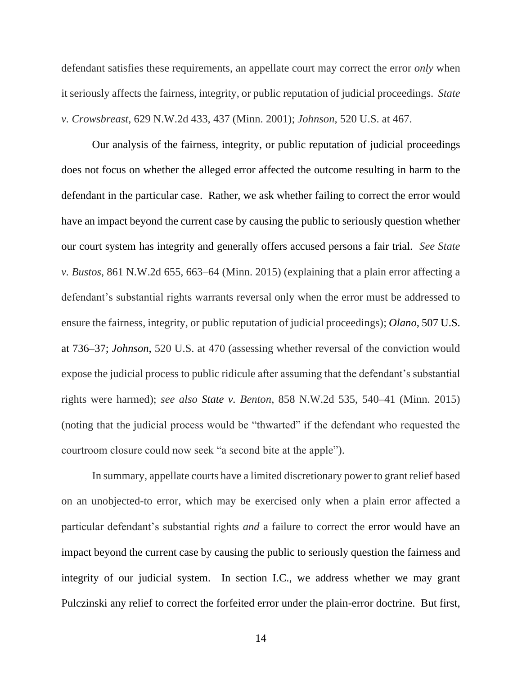defendant satisfies these requirements, an appellate court may correct the error *only* when it seriously affects the fairness, integrity, or public reputation of judicial proceedings. *State v. Crowsbreast*, 629 N.W.2d 433, 437 (Minn. 2001); *Johnson*, 520 U.S. at 467.

Our analysis of the fairness, integrity, or public reputation of judicial proceedings does not focus on whether the alleged error affected the outcome resulting in harm to the defendant in the particular case. Rather, we ask whether failing to correct the error would have an impact beyond the current case by causing the public to seriously question whether our court system has integrity and generally offers accused persons a fair trial. *See State v. Bustos*, 861 N.W.2d 655, 663–64 (Minn. 2015) (explaining that a plain error affecting a defendant's substantial rights warrants reversal only when the error must be addressed to ensure the fairness, integrity, or public reputation of judicial proceedings); *Olano*, 507 U.S. at 736–37; *Johnson*, 520 U.S. at 470 (assessing whether reversal of the conviction would expose the judicial process to public ridicule after assuming that the defendant's substantial rights were harmed); *see also State v. Benton*, 858 N.W.2d 535, 540–41 (Minn. 2015) (noting that the judicial process would be "thwarted" if the defendant who requested the courtroom closure could now seek "a second bite at the apple").

In summary, appellate courts have a limited discretionary power to grant relief based on an unobjected-to error, which may be exercised only when a plain error affected a particular defendant's substantial rights *and* a failure to correct the error would have an impact beyond the current case by causing the public to seriously question the fairness and integrity of our judicial system. In section I.C., we address whether we may grant Pulczinski any relief to correct the forfeited error under the plain-error doctrine. But first,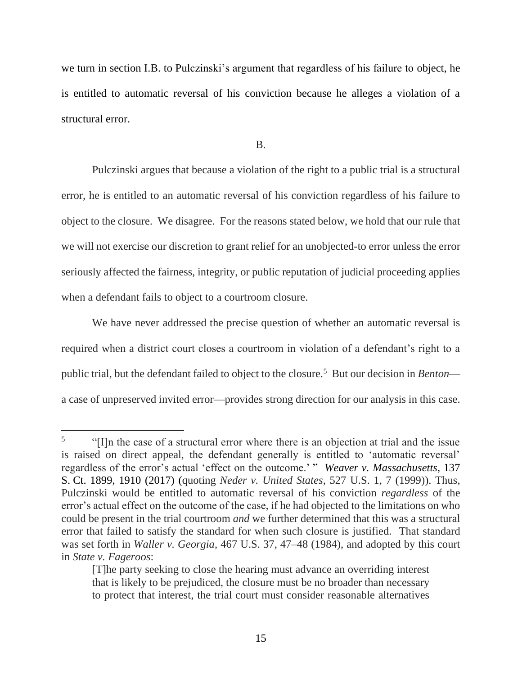we turn in section I.B. to Pulczinski's argument that regardless of his failure to object, he is entitled to automatic reversal of his conviction because he alleges a violation of a structural error.

B.

Pulczinski argues that because a violation of the right to a public trial is a structural error, he is entitled to an automatic reversal of his conviction regardless of his failure to object to the closure. We disagree. For the reasons stated below, we hold that our rule that we will not exercise our discretion to grant relief for an unobjected-to error unless the error seriously affected the fairness, integrity, or public reputation of judicial proceeding applies when a defendant fails to object to a courtroom closure.

We have never addressed the precise question of whether an automatic reversal is required when a district court closes a courtroom in violation of a defendant's right to a public trial, but the defendant failed to object to the closure.<sup>5</sup> But our decision in *Benton* a case of unpreserved invited error—provides strong direction for our analysis in this case.

<sup>5</sup> "[I]n the case of a structural error where there is an objection at trial and the issue is raised on direct appeal, the defendant generally is entitled to 'automatic reversal' regardless of the error's actual 'effect on the outcome.' " *Weaver v. Massachusetts*, 137 S. Ct. 1899, 1910 (2017) (quoting *Neder v. United States*, 527 U.S. 1, 7 (1999)). Thus, Pulczinski would be entitled to automatic reversal of his conviction *regardless* of the error's actual effect on the outcome of the case, if he had objected to the limitations on who could be present in the trial courtroom *and* we further determined that this was a structural error that failed to satisfy the standard for when such closure is justified. That standard was set forth in *Waller v. Georgia*, 467 U.S. 37, 47–48 (1984), and adopted by this court in *State v. Fageroos*:

<sup>[</sup>T]he party seeking to close the hearing must advance an overriding interest that is likely to be prejudiced, the closure must be no broader than necessary to protect that interest, the trial court must consider reasonable alternatives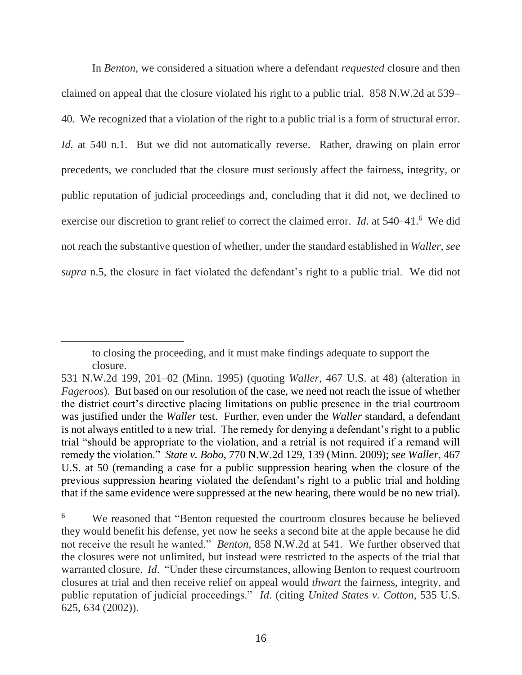In *Benton*, we considered a situation where a defendant *requested* closure and then claimed on appeal that the closure violated his right to a public trial. 858 N.W.2d at 539– 40. We recognized that a violation of the right to a public trial is a form of structural error. *Id.* at 540 n.1. But we did not automatically reverse. Rather, drawing on plain error precedents, we concluded that the closure must seriously affect the fairness, integrity, or public reputation of judicial proceedings and, concluding that it did not, we declined to exercise our discretion to grant relief to correct the claimed error. *Id.* at 540–41.<sup>6</sup> We did not reach the substantive question of whether, under the standard established in *Waller*, *see supra* n.5, the closure in fact violated the defendant's right to a public trial. We did not

to closing the proceeding, and it must make findings adequate to support the closure.

<sup>531</sup> N.W.2d 199, 201–02 (Minn. 1995) (quoting *Waller*, 467 U.S. at 48) (alteration in *Fageroos*). But based on our resolution of the case, we need not reach the issue of whether the district court's directive placing limitations on public presence in the trial courtroom was justified under the *Waller* test. Further, even under the *Waller* standard, a defendant is not always entitled to a new trial. The remedy for denying a defendant's right to a public trial "should be appropriate to the violation, and a retrial is not required if a remand will remedy the violation." *State v. Bobo*, 770 N.W.2d 129, 139 (Minn. 2009); *see Waller*, 467 U.S. at 50 (remanding a case for a public suppression hearing when the closure of the previous suppression hearing violated the defendant's right to a public trial and holding that if the same evidence were suppressed at the new hearing, there would be no new trial).

We reasoned that "Benton requested the courtroom closures because he believed they would benefit his defense, yet now he seeks a second bite at the apple because he did not receive the result he wanted." *Benton*, 858 N.W.2d at 541. We further observed that the closures were not unlimited, but instead were restricted to the aspects of the trial that warranted closure. *Id*. "Under these circumstances, allowing Benton to request courtroom closures at trial and then receive relief on appeal would *thwart* the fairness, integrity, and public reputation of judicial proceedings." *Id*. (citing *United States v. Cotton*, 535 U.S. 625, 634 (2002)).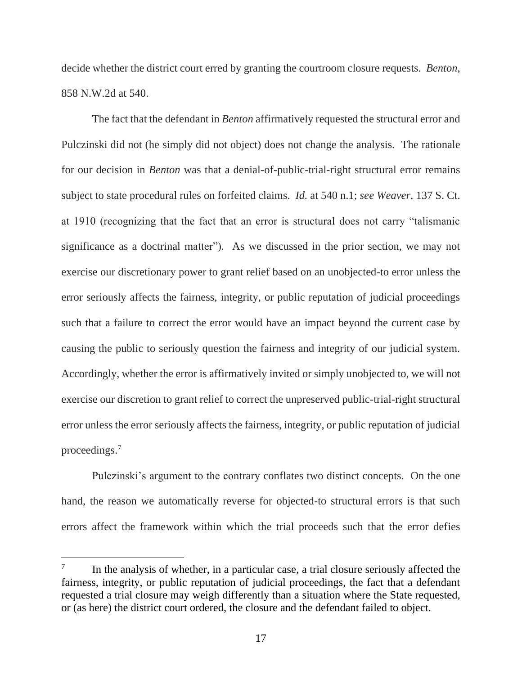decide whether the district court erred by granting the courtroom closure requests. *Benton*, 858 N.W.2d at 540.

The fact that the defendant in *Benton* affirmatively requested the structural error and Pulczinski did not (he simply did not object) does not change the analysis. The rationale for our decision in *Benton* was that a denial-of-public-trial-right structural error remains subject to state procedural rules on forfeited claims. *Id.* at 540 n.1; *see Weaver*, 137 S. Ct. at 1910 (recognizing that the fact that an error is structural does not carry "talismanic significance as a doctrinal matter")*.* As we discussed in the prior section, we may not exercise our discretionary power to grant relief based on an unobjected-to error unless the error seriously affects the fairness, integrity, or public reputation of judicial proceedings such that a failure to correct the error would have an impact beyond the current case by causing the public to seriously question the fairness and integrity of our judicial system. Accordingly, whether the error is affirmatively invited or simply unobjected to, we will not exercise our discretion to grant relief to correct the unpreserved public-trial-right structural error unless the error seriously affects the fairness, integrity, or public reputation of judicial proceedings.<sup>7</sup>

Pulczinski's argument to the contrary conflates two distinct concepts. On the one hand, the reason we automatically reverse for objected-to structural errors is that such errors affect the framework within which the trial proceeds such that the error defies

<sup>7</sup> In the analysis of whether, in a particular case, a trial closure seriously affected the fairness, integrity, or public reputation of judicial proceedings, the fact that a defendant requested a trial closure may weigh differently than a situation where the State requested, or (as here) the district court ordered, the closure and the defendant failed to object.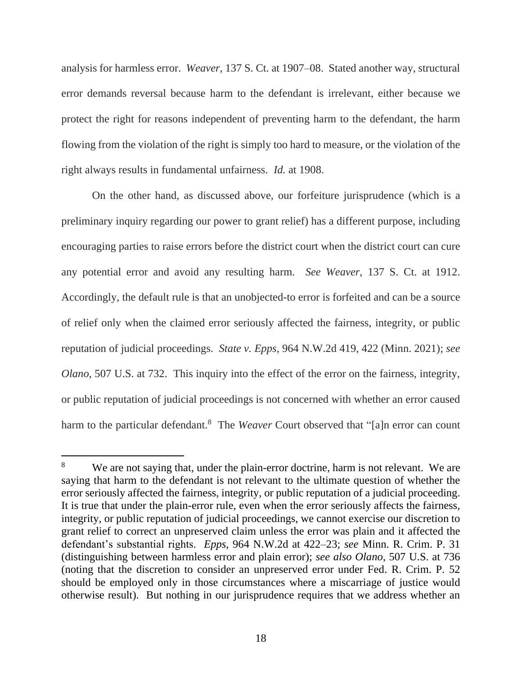analysis for harmless error. *Weaver*, 137 S. Ct. at 1907–08. Stated another way, structural error demands reversal because harm to the defendant is irrelevant, either because we protect the right for reasons independent of preventing harm to the defendant, the harm flowing from the violation of the right is simply too hard to measure, or the violation of the right always results in fundamental unfairness. *Id.* at 1908.

On the other hand, as discussed above, our forfeiture jurisprudence (which is a preliminary inquiry regarding our power to grant relief) has a different purpose, including encouraging parties to raise errors before the district court when the district court can cure any potential error and avoid any resulting harm. *See Weaver*, 137 S. Ct. at 1912. Accordingly, the default rule is that an unobjected-to error is forfeited and can be a source of relief only when the claimed error seriously affected the fairness, integrity, or public reputation of judicial proceedings. *State v. Epps*, 964 N.W.2d 419, 422 (Minn. 2021); *see Olano*, 507 U.S. at 732. This inquiry into the effect of the error on the fairness, integrity, or public reputation of judicial proceedings is not concerned with whether an error caused harm to the particular defendant.<sup>8</sup> The *Weaver* Court observed that "[a]n error can count

<sup>&</sup>lt;sup>8</sup> We are not saying that, under the plain-error doctrine, harm is not relevant. We are saying that harm to the defendant is not relevant to the ultimate question of whether the error seriously affected the fairness, integrity, or public reputation of a judicial proceeding. It is true that under the plain-error rule, even when the error seriously affects the fairness, integrity, or public reputation of judicial proceedings, we cannot exercise our discretion to grant relief to correct an unpreserved claim unless the error was plain and it affected the defendant's substantial rights. *Epps*, 964 N.W.2d at 422–23; *see* Minn. R. Crim. P. 31 (distinguishing between harmless error and plain error); *see also Olano*, 507 U.S. at 736 (noting that the discretion to consider an unpreserved error under Fed. R. Crim. P. 52 should be employed only in those circumstances where a miscarriage of justice would otherwise result). But nothing in our jurisprudence requires that we address whether an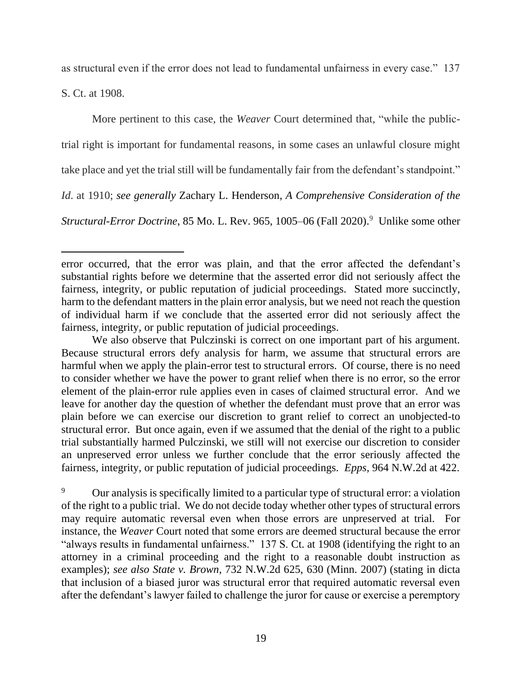as structural even if the error does not lead to fundamental unfairness in every case." 137

S. Ct. at 1908.

More pertinent to this case, the *Weaver* Court determined that, "while the publictrial right is important for fundamental reasons, in some cases an unlawful closure might take place and yet the trial still will be fundamentally fair from the defendant's standpoint." *Id*. at 1910; *see generally* Zachary L. Henderson, *A Comprehensive Consideration of the Structural-Error Doctrine*, 85 Mo. L. Rev. 965, 1005–06 (Fall 2020).<sup>9</sup> Unlike some other

error occurred, that the error was plain, and that the error affected the defendant's substantial rights before we determine that the asserted error did not seriously affect the fairness, integrity, or public reputation of judicial proceedings. Stated more succinctly, harm to the defendant matters in the plain error analysis, but we need not reach the question of individual harm if we conclude that the asserted error did not seriously affect the fairness, integrity, or public reputation of judicial proceedings.

We also observe that Pulczinski is correct on one important part of his argument. Because structural errors defy analysis for harm, we assume that structural errors are harmful when we apply the plain-error test to structural errors. Of course, there is no need to consider whether we have the power to grant relief when there is no error, so the error element of the plain-error rule applies even in cases of claimed structural error. And we leave for another day the question of whether the defendant must prove that an error was plain before we can exercise our discretion to grant relief to correct an unobjected-to structural error. But once again, even if we assumed that the denial of the right to a public trial substantially harmed Pulczinski, we still will not exercise our discretion to consider an unpreserved error unless we further conclude that the error seriously affected the fairness, integrity, or public reputation of judicial proceedings. *Epps*, 964 N.W.2d at 422.

<sup>&</sup>lt;sup>9</sup> Our analysis is specifically limited to a particular type of structural error: a violation of the right to a public trial. We do not decide today whether other types of structural errors may require automatic reversal even when those errors are unpreserved at trial. For instance, the *Weaver* Court noted that some errors are deemed structural because the error "always results in fundamental unfairness." 137 S. Ct. at 1908 (identifying the right to an attorney in a criminal proceeding and the right to a reasonable doubt instruction as examples); *see also State v. Brown*, 732 N.W.2d 625, 630 (Minn. 2007) (stating in dicta that inclusion of a biased juror was structural error that required automatic reversal even after the defendant's lawyer failed to challenge the juror for cause or exercise a peremptory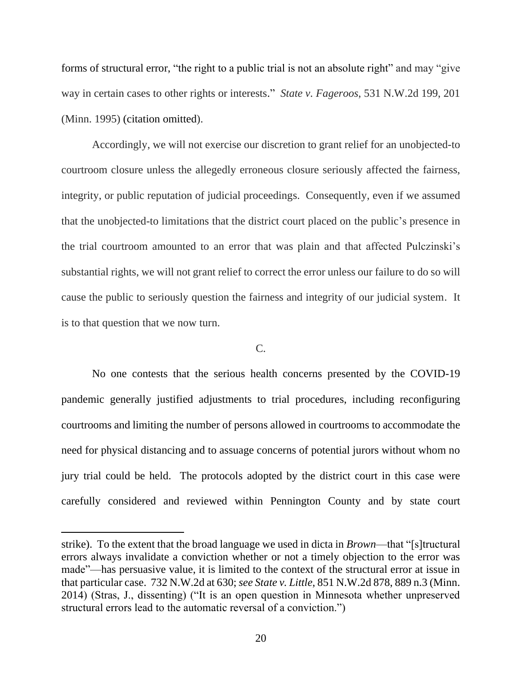forms of structural error, "the right to a public trial is not an absolute right" and may "give way in certain cases to other rights or interests." *State v. Fageroos*, 531 N.W.2d 199, 201 (Minn. 1995) (citation omitted).

Accordingly, we will not exercise our discretion to grant relief for an unobjected-to courtroom closure unless the allegedly erroneous closure seriously affected the fairness, integrity, or public reputation of judicial proceedings. Consequently, even if we assumed that the unobjected-to limitations that the district court placed on the public's presence in the trial courtroom amounted to an error that was plain and that affected Pulczinski's substantial rights, we will not grant relief to correct the error unless our failure to do so will cause the public to seriously question the fairness and integrity of our judicial system. It is to that question that we now turn.

# $C_{\cdot}$

No one contests that the serious health concerns presented by the COVID-19 pandemic generally justified adjustments to trial procedures, including reconfiguring courtrooms and limiting the number of persons allowed in courtrooms to accommodate the need for physical distancing and to assuage concerns of potential jurors without whom no jury trial could be held. The protocols adopted by the district court in this case were carefully considered and reviewed within Pennington County and by state court

strike). To the extent that the broad language we used in dicta in *Brown*—that "[s]tructural errors always invalidate a conviction whether or not a timely objection to the error was made"—has persuasive value, it is limited to the context of the structural error at issue in that particular case. 732 N.W.2d at 630; *see State v. Little*, 851 N.W.2d 878, 889 n.3 (Minn. 2014) (Stras, J., dissenting) ("It is an open question in Minnesota whether unpreserved structural errors lead to the automatic reversal of a conviction.")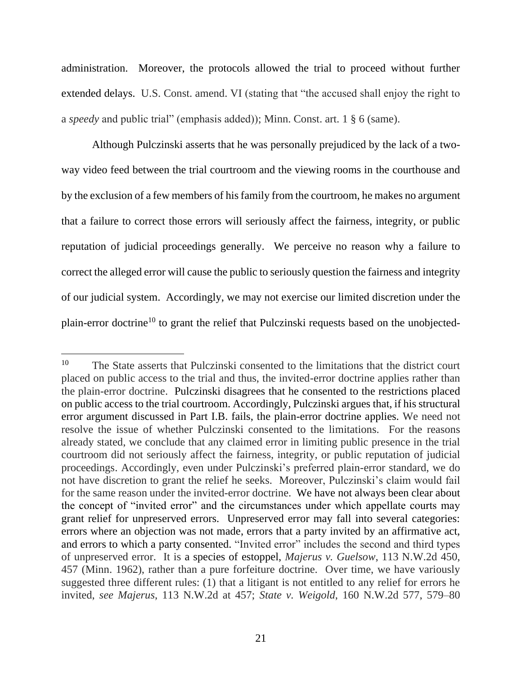administration. Moreover, the protocols allowed the trial to proceed without further extended delays. U.S. Const. amend. VI (stating that "the accused shall enjoy the right to a *speedy* and public trial" (emphasis added)); Minn. Const. art. 1 § 6 (same).

Although Pulczinski asserts that he was personally prejudiced by the lack of a twoway video feed between the trial courtroom and the viewing rooms in the courthouse and by the exclusion of a few members of his family from the courtroom, he makes no argument that a failure to correct those errors will seriously affect the fairness, integrity, or public reputation of judicial proceedings generally. We perceive no reason why a failure to correct the alleged error will cause the public to seriously question the fairness and integrity of our judicial system. Accordingly, we may not exercise our limited discretion under the plain-error doctrine<sup>10</sup> to grant the relief that Pulczinski requests based on the unobjected-

<sup>&</sup>lt;sup>10</sup> The State asserts that Pulczinski consented to the limitations that the district court placed on public access to the trial and thus, the invited-error doctrine applies rather than the plain-error doctrine. Pulczinski disagrees that he consented to the restrictions placed on public access to the trial courtroom. Accordingly, Pulczinski argues that, if his structural error argument discussed in Part I.B. fails, the plain-error doctrine applies. We need not resolve the issue of whether Pulczinski consented to the limitations. For the reasons already stated, we conclude that any claimed error in limiting public presence in the trial courtroom did not seriously affect the fairness, integrity, or public reputation of judicial proceedings. Accordingly, even under Pulczinski's preferred plain-error standard, we do not have discretion to grant the relief he seeks. Moreover, Pulczinski's claim would fail for the same reason under the invited-error doctrine. We have not always been clear about the concept of "invited error" and the circumstances under which appellate courts may grant relief for unpreserved errors. Unpreserved error may fall into several categories: errors where an objection was not made, errors that a party invited by an affirmative act, and errors to which a party consented. "Invited error" includes the second and third types of unpreserved error. It is a species of estoppel, *Majerus v. Guelsow*, 113 N.W.2d 450, 457 (Minn. 1962), rather than a pure forfeiture doctrine. Over time, we have variously suggested three different rules: (1) that a litigant is not entitled to any relief for errors he invited, *see Majerus*, 113 N.W.2d at 457; *State v. Weigold*, 160 N.W.2d 577, 579–80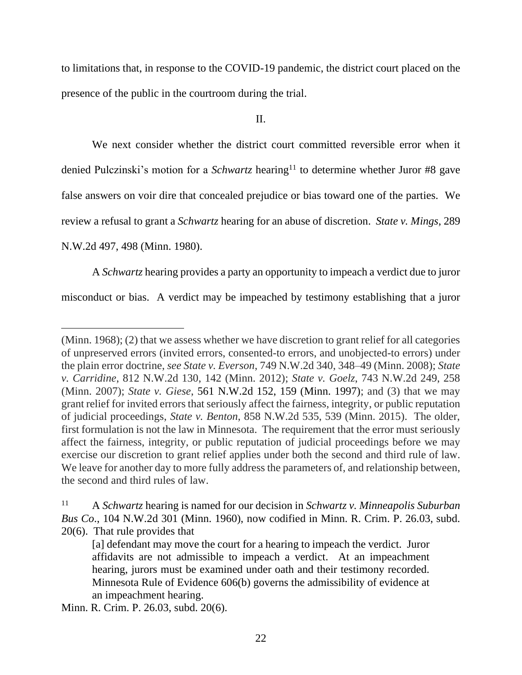to limitations that, in response to the COVID-19 pandemic, the district court placed on the presence of the public in the courtroom during the trial.

II.

We next consider whether the district court committed reversible error when it denied Pulczinski's motion for a *Schwartz* hearing<sup>11</sup> to determine whether Juror #8 gave false answers on voir dire that concealed prejudice or bias toward one of the parties. We review a refusal to grant a *Schwartz* hearing for an abuse of discretion. *State v. Mings*, 289 N.W.2d 497, 498 (Minn. 1980).

A *Schwartz* hearing provides a party an opportunity to impeach a verdict due to juror misconduct or bias. A verdict may be impeached by testimony establishing that a juror

<sup>(</sup>Minn. 1968); (2) that we assess whether we have discretion to grant relief for all categories of unpreserved errors (invited errors, consented-to errors, and unobjected-to errors) under the plain error doctrine, *see State v. Everson*, 749 N.W.2d 340, 348–49 (Minn. 2008); *State v. Carridine*, 812 N.W.2d 130, 142 (Minn. 2012); *State v. Goelz*, 743 N.W.2d 249, 258 (Minn. 2007); *State v. Giese*, 561 N.W.2d 152, 159 (Minn. 1997); and (3) that we may grant relief for invited errors that seriously affect the fairness, integrity, or public reputation of judicial proceedings, *State v. Benton*, 858 N.W.2d 535, 539 (Minn. 2015). The older, first formulation is not the law in Minnesota. The requirement that the error must seriously affect the fairness, integrity, or public reputation of judicial proceedings before we may exercise our discretion to grant relief applies under both the second and third rule of law. We leave for another day to more fully address the parameters of, and relationship between, the second and third rules of law.

<sup>11</sup> A *Schwartz* hearing is named for our decision in *Schwartz v. Minneapolis Suburban Bus Co*., 104 N.W.2d 301 (Minn. 1960), now codified in Minn. R. Crim. P. 26.03, subd. 20(6). That rule provides that

<sup>[</sup>a] defendant may move the court for a hearing to impeach the verdict. Juror affidavits are not admissible to impeach a verdict. At an impeachment hearing, jurors must be examined under oath and their testimony recorded. Minnesota Rule of Evidence 606(b) governs the admissibility of evidence at an impeachment hearing.

Minn. R. Crim. P. 26.03, subd. 20(6).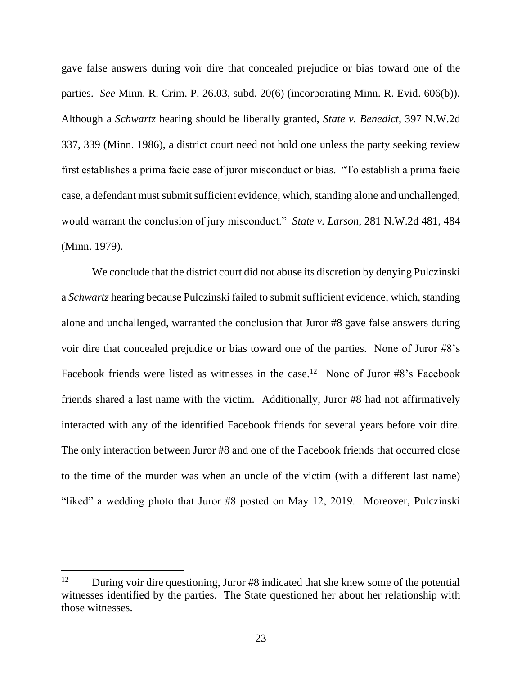gave false answers during voir dire that concealed prejudice or bias toward one of the parties. *See* Minn. R. Crim. P. 26.03, subd. 20(6) (incorporating Minn. R. Evid. 606(b)). Although a *Schwartz* hearing should be liberally granted, *State v. Benedict*, 397 N.W.2d 337, 339 (Minn. 1986), a district court need not hold one unless the party seeking review first establishes a prima facie case of juror misconduct or bias. "To establish a prima facie case, a defendant must submit sufficient evidence, which, standing alone and unchallenged, would warrant the conclusion of jury misconduct." *State v. Larson*, 281 N.W.2d 481, 484 (Minn. 1979).

We conclude that the district court did not abuse its discretion by denying Pulczinski a *Schwartz* hearing because Pulczinski failed to submit sufficient evidence, which, standing alone and unchallenged, warranted the conclusion that Juror #8 gave false answers during voir dire that concealed prejudice or bias toward one of the parties. None of Juror #8's Facebook friends were listed as witnesses in the case.<sup>12</sup> None of Juror #8's Facebook friends shared a last name with the victim. Additionally, Juror #8 had not affirmatively interacted with any of the identified Facebook friends for several years before voir dire. The only interaction between Juror #8 and one of the Facebook friends that occurred close to the time of the murder was when an uncle of the victim (with a different last name) "liked" a wedding photo that Juror #8 posted on May 12, 2019. Moreover, Pulczinski

<sup>&</sup>lt;sup>12</sup> During voir dire questioning, Juror #8 indicated that she knew some of the potential witnesses identified by the parties. The State questioned her about her relationship with those witnesses.